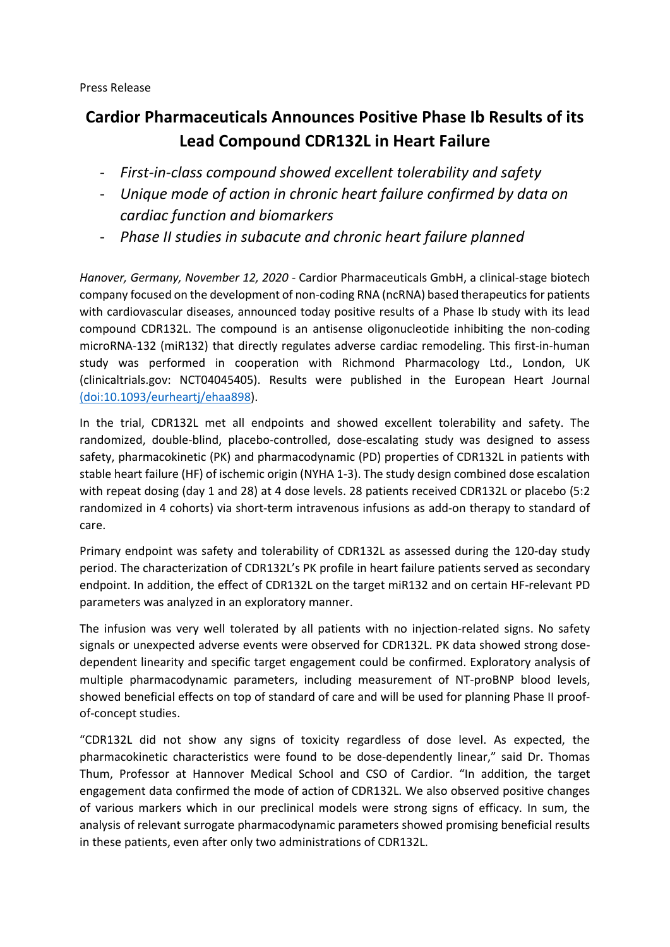Press Release

## **Cardior Pharmaceuticals Announces Positive Phase Ib Results of its Lead Compound CDR132L in Heart Failure**

- *First-in-class compound showed excellent tolerability and safety*
- *Unique mode of action in chronic heart failure confirmed by data on cardiac function and biomarkers*
- *Phase II studies in subacute and chronic heart failure planned*

*Hanover, Germany, November 12, 2020* - Cardior Pharmaceuticals GmbH, a clinical-stage biotech company focused on the development of non-coding RNA (ncRNA) based therapeutics for patients with cardiovascular diseases, announced today positive results of a Phase Ib study with its lead compound CDR132L. The compound is an antisense oligonucleotide inhibiting the non-coding microRNA-132 (miR132) that directly regulates adverse cardiac remodeling. This first-in-human study was performed in cooperation with Richmond Pharmacology Ltd., London, UK (clinicaltrials.gov: NCT04045405). Results were published in the European Heart Journal [\(doi:10.1093/eurheartj/ehaa898\)](https://pubmed.ncbi.nlm.nih.gov/33245749/).

In the trial, CDR132L met all endpoints and showed excellent tolerability and safety. The randomized, double-blind, placebo-controlled, dose-escalating study was designed to assess safety, pharmacokinetic (PK) and pharmacodynamic (PD) properties of CDR132L in patients with stable heart failure (HF) of ischemic origin (NYHA 1-3). The study design combined dose escalation with repeat dosing (day 1 and 28) at 4 dose levels. 28 patients received CDR132L or placebo (5:2 randomized in 4 cohorts) via short-term intravenous infusions as add-on therapy to standard of care.

Primary endpoint was safety and tolerability of CDR132L as assessed during the 120-day study period. The characterization of CDR132L's PK profile in heart failure patients served as secondary endpoint. In addition, the effect of CDR132L on the target miR132 and on certain HF-relevant PD parameters was analyzed in an exploratory manner.

The infusion was very well tolerated by all patients with no injection-related signs. No safety signals or unexpected adverse events were observed for CDR132L. PK data showed strong dosedependent linearity and specific target engagement could be confirmed. Exploratory analysis of multiple pharmacodynamic parameters, including measurement of NT-proBNP blood levels, showed beneficial effects on top of standard of care and will be used for planning Phase II proofof-concept studies.

"CDR132L did not show any signs of toxicity regardless of dose level. As expected, the pharmacokinetic characteristics were found to be dose-dependently linear," said Dr. Thomas Thum, Professor at Hannover Medical School and CSO of Cardior. "In addition, the target engagement data confirmed the mode of action of CDR132L. We also observed positive changes of various markers which in our preclinical models were strong signs of efficacy. In sum, the analysis of relevant surrogate pharmacodynamic parameters showed promising beneficial results in these patients, even after only two administrations of CDR132L.